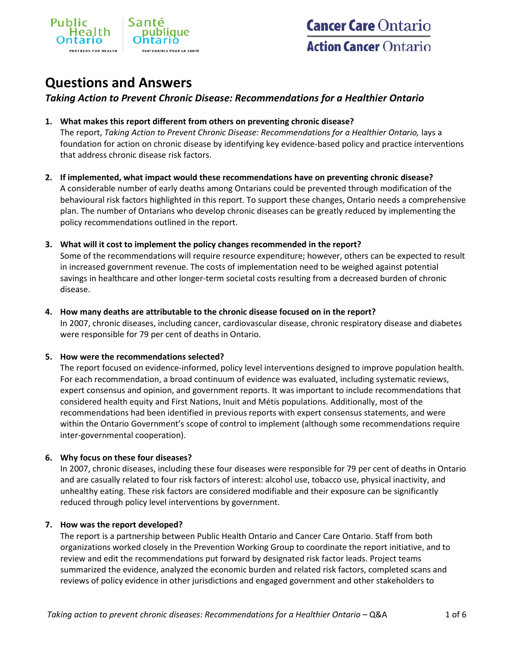

# **Questions and Answers**

# *Taking Action to Prevent Chronic Disease: Recommendations for a Healthier Ontario*

### **1. What makes this report different from others on preventing chronic disease?**

The report, *Taking Action to Prevent Chronic Disease: Recommendations for a Healthier Ontario,* lays a foundation for action on chronic disease by identifying key evidence-based policy and practice interventions that address chronic disease risk factors.

**2. If implemented, what impact would these recommendations have on preventing chronic disease?** A considerable number of early deaths among Ontarians could be prevented through modification of the behavioural risk factors highlighted in this report. To support these changes, Ontario needs a comprehensive plan. The number of Ontarians who develop chronic diseases can be greatly reduced by implementing the policy recommendations outlined in the report.

### **3. What will it cost to implement the policy changes recommended in the report?**

Some of the recommendations will require resource expenditure; however, others can be expected to result in increased government revenue. The costs of implementation need to be weighed against potential savings in healthcare and other longer-term societal costs resulting from a decreased burden of chronic disease.

### **4. How many deaths are attributable to the chronic disease focused on in the report?**

In 2007, chronic diseases, including cancer, cardiovascular disease, chronic respiratory disease and diabetes were responsible for 79 per cent of deaths in Ontario.

#### **5. How were the recommendations selected?**

The report focused on evidence-informed, policy level interventions designed to improve population health. For each recommendation, a broad continuum of evidence was evaluated, including systematic reviews, expert consensus and opinion, and government reports. It was important to include recommendations that considered health equity and First Nations, Inuit and Métis populations. Additionally, most of the recommendations had been identified in previous reports with expert consensus statements, and were within the Ontario Government's scope of control to implement (although some recommendations require inter-governmental cooperation).

# **6. Why focus on these four diseases?**

In 2007, chronic diseases, including these four diseases were responsible for 79 per cent of deaths in Ontario and are casually related to four risk factors of interest: alcohol use, tobacco use, physical inactivity, and unhealthy eating. These risk factors are considered modifiable and their exposure can be significantly reduced through policy level interventions by government.

#### **7. How was the report developed?**

The report is a partnership between Public Health Ontario and Cancer Care Ontario. Staff from both organizations worked closely in the Prevention Working Group to coordinate the report initiative, and to review and edit the recommendations put forward by designated risk factor leads. Project teams summarized the evidence, analyzed the economic burden and related risk factors, completed scans and reviews of policy evidence in other jurisdictions and engaged government and other stakeholders to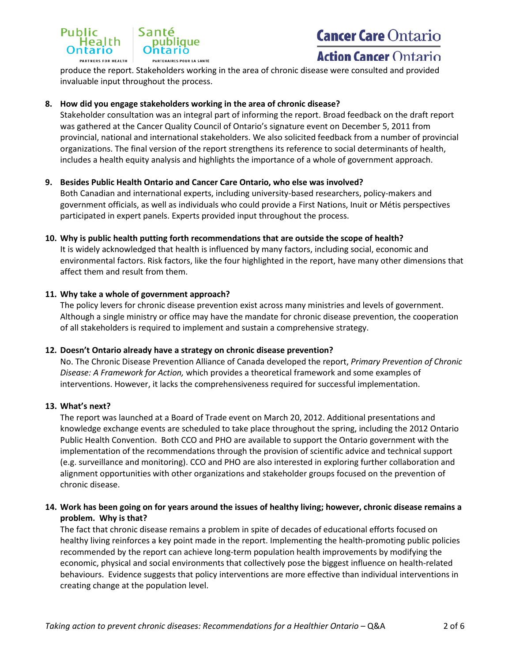

# **Cancer Care Ontario**

# **Action Cancer Ontario**

produce the report. Stakeholders working in the area of chronic disease were consulted and provided invaluable input throughout the process.

### **8. How did you engage stakeholders working in the area of chronic disease?**

Stakeholder consultation was an integral part of informing the report. Broad feedback on the draft report was gathered at the Cancer Quality Council of Ontario's signature event on December 5, 2011 from provincial, national and international stakeholders. We also solicited feedback from a number of provincial organizations. The final version of the report strengthens its reference to social determinants of health, includes a health equity analysis and highlights the importance of a whole of government approach.

#### **9. Besides Public Health Ontario and Cancer Care Ontario, who else was involved?**

Both Canadian and international experts, including university-based researchers, policy-makers and government officials, as well as individuals who could provide a First Nations, Inuit or Métis perspectives participated in expert panels. Experts provided input throughout the process.

#### **10. Why is public health putting forth recommendations that are outside the scope of health?**

It is widely acknowledged that health is influenced by many factors, including social, economic and environmental factors. Risk factors, like the four highlighted in the report, have many other dimensions that affect them and result from them.

#### **11. Why take a whole of government approach?**

The policy levers for chronic disease prevention exist across many ministries and levels of government. Although a single ministry or office may have the mandate for chronic disease prevention, the cooperation of all stakeholders is required to implement and sustain a comprehensive strategy.

#### **12. Doesn't Ontario already have a strategy on chronic disease prevention?**

No. The Chronic Disease Prevention Alliance of Canada developed the report, *Primary Prevention of Chronic Disease: A Framework for Action,* which provides a theoretical framework and some examples of interventions. However, it lacks the comprehensiveness required for successful implementation.

#### **13. What's next?**

The report was launched at a Board of Trade event on March 20, 2012. Additional presentations and knowledge exchange events are scheduled to take place throughout the spring, including the 2012 Ontario Public Health Convention. Both CCO and PHO are available to support the Ontario government with the implementation of the recommendations through the provision of scientific advice and technical support (e.g. surveillance and monitoring). CCO and PHO are also interested in exploring further collaboration and alignment opportunities with other organizations and stakeholder groups focused on the prevention of chronic disease.

### **14. Work has been going on for years around the issues of healthy living; however, chronic disease remains a problem. Why is that?**

The fact that chronic disease remains a problem in spite of decades of educational efforts focused on healthy living reinforces a key point made in the report. Implementing the health-promoting public policies recommended by the report can achieve long-term population health improvements by modifying the economic, physical and social environments that collectively pose the biggest influence on health-related behaviours. Evidence suggests that policy interventions are more effective than individual interventions in creating change at the population level.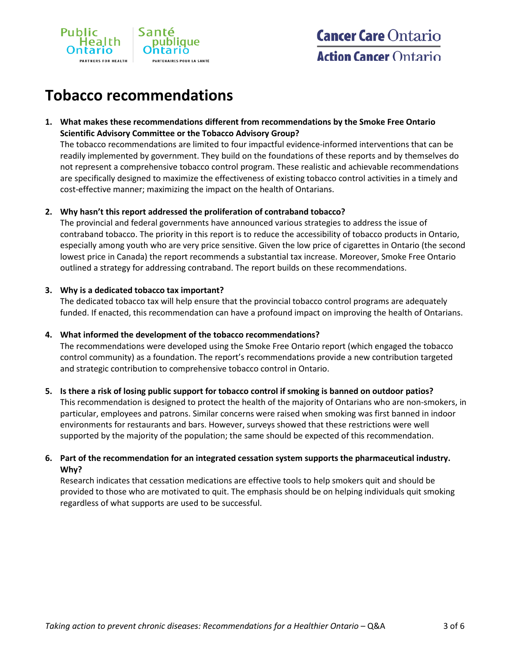

# **Tobacco recommendations**

# **1. What makes these recommendations different from recommendations by the Smoke Free Ontario Scientific Advisory Committee or the Tobacco Advisory Group?**

The tobacco recommendations are limited to four impactful evidence-informed interventions that can be readily implemented by government. They build on the foundations of these reports and by themselves do not represent a comprehensive tobacco control program. These realistic and achievable recommendations are specifically designed to maximize the effectiveness of existing tobacco control activities in a timely and cost-effective manner; maximizing the impact on the health of Ontarians.

# **2. Why hasn't this report addressed the proliferation of contraband tobacco?**

The provincial and federal governments have announced various strategies to address the issue of contraband tobacco. The priority in this report is to reduce the accessibility of tobacco products in Ontario, especially among youth who are very price sensitive. Given the low price of cigarettes in Ontario (the second lowest price in Canada) the report recommends a substantial tax increase. Moreover, Smoke Free Ontario outlined a strategy for addressing contraband. The report builds on these recommendations.

### **3. Why is a dedicated tobacco tax important?**

The dedicated tobacco tax will help ensure that the provincial tobacco control programs are adequately funded. If enacted, this recommendation can have a profound impact on improving the health of Ontarians.

# **4. What informed the development of the tobacco recommendations?**

The recommendations were developed using the Smoke Free Ontario report (which engaged the tobacco control community) as a foundation. The report's recommendations provide a new contribution targeted and strategic contribution to comprehensive tobacco control in Ontario.

# **5. Is there a risk of losing public support for tobacco control if smoking is banned on outdoor patios?**

This recommendation is designed to protect the health of the majority of Ontarians who are non-smokers, in particular, employees and patrons. Similar concerns were raised when smoking was first banned in indoor environments for restaurants and bars. However, surveys showed that these restrictions were well supported by the majority of the population; the same should be expected of this recommendation.

# **6. Part of the recommendation for an integrated cessation system supports the pharmaceutical industry. Why?**

Research indicates that cessation medications are effective tools to help smokers quit and should be provided to those who are motivated to quit. The emphasis should be on helping individuals quit smoking regardless of what supports are used to be successful.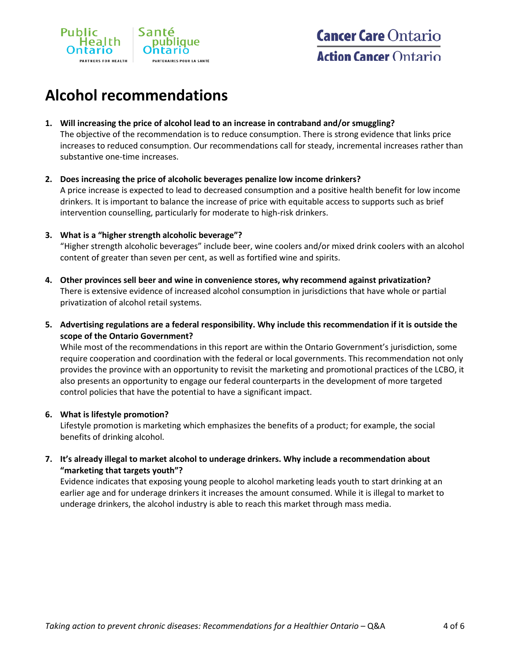

# **Alcohol recommendations**

### **1. Will increasing the price of alcohol lead to an increase in contraband and/or smuggling?**

The objective of the recommendation is to reduce consumption. There is strong evidence that links price increases to reduced consumption. Our recommendations call for steady, incremental increases rather than substantive one-time increases.

# **2. Does increasing the price of alcoholic beverages penalize low income drinkers?** A price increase is expected to lead to decreased consumption and a positive health benefit for low income drinkers. It is important to balance the increase of price with equitable access to supports such as brief intervention counselling, particularly for moderate to high-risk drinkers.

### **3. What is a "higher strength alcoholic beverage"?**

"Higher strength alcoholic beverages" include beer, wine coolers and/or mixed drink coolers with an alcohol content of greater than seven per cent, as well as fortified wine and spirits.

- **4. Other provinces sell beer and wine in convenience stores, why recommend against privatization?** There is extensive evidence of increased alcohol consumption in jurisdictions that have whole or partial privatization of alcohol retail systems.
- **5. Advertising regulations are a federal responsibility. Why include this recommendation if it is outside the scope of the Ontario Government?**

While most of the recommendations in this report are within the Ontario Government's jurisdiction, some require cooperation and coordination with the federal or local governments. This recommendation not only provides the province with an opportunity to revisit the marketing and promotional practices of the LCBO, it also presents an opportunity to engage our federal counterparts in the development of more targeted control policies that have the potential to have a significant impact.

# **6. What is lifestyle promotion?**

Lifestyle promotion is marketing which emphasizes the benefits of a product; for example, the social benefits of drinking alcohol.

**7. It's already illegal to market alcohol to underage drinkers. Why include a recommendation about "marketing that targets youth"?**

Evidence indicates that exposing young people to alcohol marketing leads youth to start drinking at an earlier age and for underage drinkers it increases the amount consumed. While it is illegal to market to underage drinkers, the alcohol industry is able to reach this market through mass media.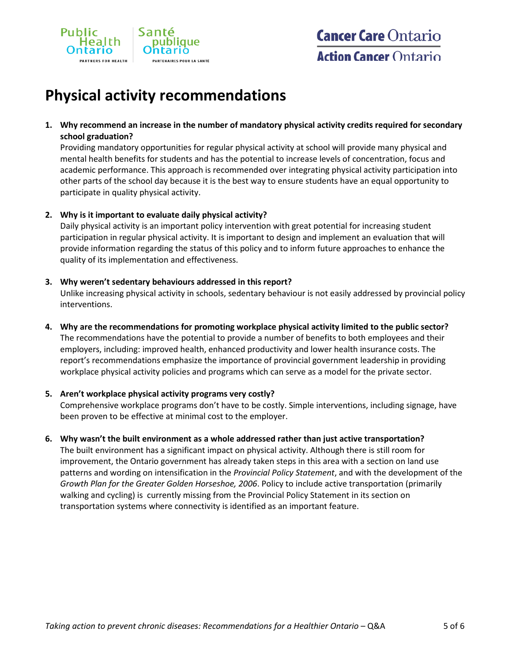

# **Physical activity recommendations**

**1. Why recommend an increase in the number of mandatory physical activity credits required for secondary school graduation?**

Providing mandatory opportunities for regular physical activity at school will provide many physical and mental health benefits for students and has the potential to increase levels of concentration, focus and academic performance. This approach is recommended over integrating physical activity participation into other parts of the school day because it is the best way to ensure students have an equal opportunity to participate in quality physical activity.

### **2. Why is it important to evaluate daily physical activity?**

Daily physical activity is an important policy intervention with great potential for increasing student participation in regular physical activity. It is important to design and implement an evaluation that will provide information regarding the status of this policy and to inform future approaches to enhance the quality of its implementation and effectiveness.

### **3. Why weren't sedentary behaviours addressed in this report?**

Unlike increasing physical activity in schools, sedentary behaviour is not easily addressed by provincial policy interventions.

**4. Why are the recommendations for promoting workplace physical activity limited to the public sector?** The recommendations have the potential to provide a number of benefits to both employees and their employers, including: improved health, enhanced productivity and lower health insurance costs. The report's recommendations emphasize the importance of provincial government leadership in providing

workplace physical activity policies and programs which can serve as a model for the private sector.

# **5. Aren't workplace physical activity programs very costly?**

Comprehensive workplace programs don't have to be costly. Simple interventions, including signage, have been proven to be effective at minimal cost to the employer.

#### **6. Why wasn't the built environment as a whole addressed rather than just active transportation?**

The built environment has a significant impact on physical activity. Although there is still room for improvement, the Ontario government has already taken steps in this area with a section on land use patterns and wording on intensification in the *Provincial Policy Statement*, and with the development of the *Growth Plan for the Greater Golden Horseshoe, 2006*. Policy to include active transportation (primarily walking and cycling) is currently missing from the Provincial Policy Statement in its section on transportation systems where connectivity is identified as an important feature.